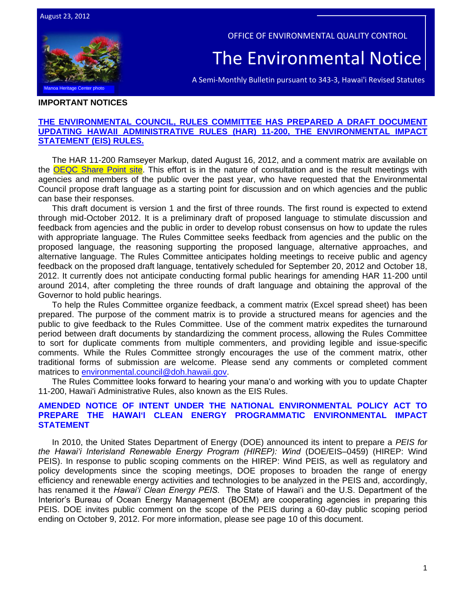

OFFICE OF ENVIRONMENTAL QUALITY CONTROL

# The Environmental Notice

A Semi-Monthly Bulletin pursuant to 343-3, Hawai'i Revised Statutes

#### **IMPORTANT NOTICES**

## **[THE ENVIRONMENTAL COUNCIL, RULES COMMITTEE HAS PREPARED A DRAFT DOCUMENT](http://oeqc.doh.hawaii.gov/Shared%20Documents/Forms/AllItems.aspx?RootFolder=%2fShared%20Documents%2fEnvironmental%5fCouncil%2f2012%2d08%2d16%20Draft%20Chapter%2011%2d200%20HAR%20Mark%20Ups%20and%20Comment%20Matrix&View=%7bC0C5C897%2d3066%2d4821%2d864E%2d36FB3D77F5D5%7d)  [UPDATING HAWAII ADMINISTRATIVE RULES \(HAR\) 11-200, THE ENVIRONMENTAL IMPACT](http://oeqc.doh.hawaii.gov/Shared%20Documents/Forms/AllItems.aspx?RootFolder=%2fShared%20Documents%2fEnvironmental%5fCouncil%2f2012%2d08%2d16%20Draft%20Chapter%2011%2d200%20HAR%20Mark%20Ups%20and%20Comment%20Matrix&View=%7bC0C5C897%2d3066%2d4821%2d864E%2d36FB3D77F5D5%7d)  [STATEMENT \(EIS\) RULES.](http://oeqc.doh.hawaii.gov/Shared%20Documents/Forms/AllItems.aspx?RootFolder=%2fShared%20Documents%2fEnvironmental%5fCouncil%2f2012%2d08%2d16%20Draft%20Chapter%2011%2d200%20HAR%20Mark%20Ups%20and%20Comment%20Matrix&View=%7bC0C5C897%2d3066%2d4821%2d864E%2d36FB3D77F5D5%7d)**

The HAR 11-200 Ramseyer Markup, dated August 16, 2012, and a comment matrix are available on the [OEQC Share Point site.](http://oeqc.doh.hawaii.gov/default.aspx?RootFolder=%2fShared%20Documents%2fEnvironmental_Council%2f2012-08-16%20Draft%20Chapter%2011-200%20HAR%20Mark%20Ups%20and%20Comment%20Matrix&View=%7bF4E3E6A9-2607-49FC-B7A5-2928B79F10B4%7d) This effort is in the nature of consultation and is the result meetings with agencies and members of the public over the past year, who have requested that the Environmental Council propose draft language as a starting point for discussion and on which agencies and the public can base their responses.

This draft document is version 1 and the first of three rounds. The first round is expected to extend through mid-October 2012. It is a preliminary draft of proposed language to stimulate discussion and feedback from agencies and the public in order to develop robust consensus on how to update the rules with appropriate language. The Rules Committee seeks feedback from agencies and the public on the proposed language, the reasoning supporting the proposed language, alternative approaches, and alternative language. The Rules Committee anticipates holding meetings to receive public and agency feedback on the proposed draft language, tentatively scheduled for September 20, 2012 and October 18, 2012. It currently does not anticipate conducting formal public hearings for amending HAR 11-200 until around 2014, after completing the three rounds of draft language and obtaining the approval of the Governor to hold public hearings.

To help the Rules Committee organize feedback, a comment matrix (Excel spread sheet) has been prepared. The purpose of the comment matrix is to provide a structured means for agencies and the public to give feedback to the Rules Committee. Use of the comment matrix expedites the turnaround period between draft documents by standardizing the comment process, allowing the Rules Committee to sort for duplicate comments from multiple commenters, and providing legible and issue-specific comments. While the Rules Committee strongly encourages the use of the comment matrix, other traditional forms of submission are welcome. Please send any comments or completed comment matrices to [environmental.council@doh.hawaii.gov.](mailto:environmental.council@doh.hawaii.gov)

The Rules Committee looks forward to hearing your mana'o and working with you to update Chapter 11-200, Hawai'i Administrative Rules, also known as the EIS Rules.

## **AMENDED NOTICE OF INTENT UNDER THE NATIONAL ENVIRONMENTAL POLICY ACT TO PREPARE THE HAWAI'I CLEAN ENERGY PROGRAMMATIC ENVIRONMENTAL IMPACT STATEMENT**

In 2010, the United States Department of Energy (DOE) announced its intent to prepare a *PEIS for the Hawai'i Interisland Renewable Energy Program (HIREP): Wind* (DOE/EIS–0459) (HIREP: Wind PEIS). In response to public scoping comments on the HIREP: Wind PEIS, as well as regulatory and policy developments since the scoping meetings, DOE proposes to broaden the range of energy efficiency and renewable energy activities and technologies to be analyzed in the PEIS and, accordingly, has renamed it the *Hawai'i Clean Energy PEIS.* The State of Hawai'i and the U.S. Department of the Interior's Bureau of Ocean Energy Management (BOEM) are cooperating agencies in preparing this PEIS. DOE invites public comment on the scope of the PEIS during a 60-day public scoping period ending on October 9, 2012. For more information, please see page 10 of this document.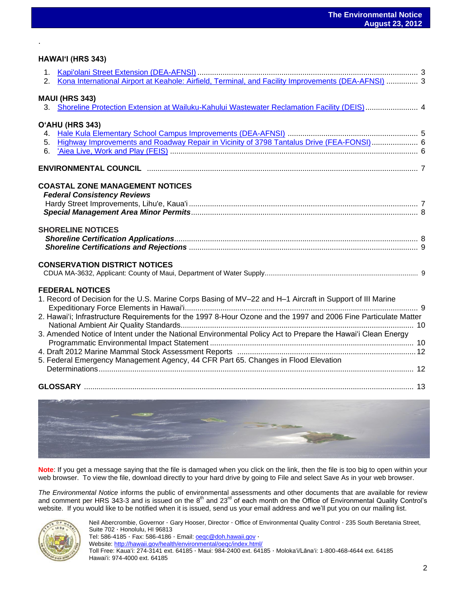#### **HAWAIʻI (HRS 343)**

.

| 2.             | Kona International Airport at Keahole: Airfield, Terminal, and Facility Improvements (DEA-AFNSI)  3                                 |  |
|----------------|-------------------------------------------------------------------------------------------------------------------------------------|--|
|                |                                                                                                                                     |  |
|                | <b>MAUI (HRS 343)</b><br>3. Shoreline Protection Extension at Wailuku-Kahului Wastewater Reclamation Facility (DEIS)  4             |  |
|                |                                                                                                                                     |  |
|                | O'AHU (HRS 343)                                                                                                                     |  |
|                |                                                                                                                                     |  |
| 5 <sub>1</sub> | Highway Improvements and Roadway Repair in Vicinity of 3798 Tantalus Drive (FEA-FONSI) 6                                            |  |
| 6.             |                                                                                                                                     |  |
|                |                                                                                                                                     |  |
|                | <b>COASTAL ZONE MANAGEMENT NOTICES</b>                                                                                              |  |
|                | <b>Federal Consistency Reviews</b>                                                                                                  |  |
|                |                                                                                                                                     |  |
|                |                                                                                                                                     |  |
|                | <b>SHORELINE NOTICES</b>                                                                                                            |  |
|                |                                                                                                                                     |  |
|                |                                                                                                                                     |  |
|                | <b>CONSERVATION DISTRICT NOTICES</b>                                                                                                |  |
|                |                                                                                                                                     |  |
|                |                                                                                                                                     |  |
|                | <b>FEDERAL NOTICES</b><br>1. Record of Decision for the U.S. Marine Corps Basing of MV-22 and H-1 Aircraft in Support of III Marine |  |
|                |                                                                                                                                     |  |
|                | 2. Hawai'i; Infrastructure Requirements for the 1997 8-Hour Ozone and the 1997 and 2006 Fine Particulate Matter                     |  |
|                |                                                                                                                                     |  |
|                | 3. Amended Notice of Intent under the National Environmental Policy Act to Prepare the Hawai'i Clean Energy                         |  |
|                |                                                                                                                                     |  |
|                | 5. Federal Emergency Management Agency, 44 CFR Part 65. Changes in Flood Elevation                                                  |  |
|                |                                                                                                                                     |  |
|                |                                                                                                                                     |  |
|                |                                                                                                                                     |  |
|                | and the first party of the                                                                                                          |  |
|                |                                                                                                                                     |  |



**Note**: If you get a message saying that the file is damaged when you click on the link, then the file is too big to open within your web browser. To view the file, download directly to your hard drive by going to File and select Save As in your web browser.

*The Environmental Notice* informs the public of environmental assessments and other documents that are available for review and comment per HRS 343-3 and is issued on the 8<sup>th</sup> and 23<sup>rd</sup> of each month on the Office of Environmental Quality Control's website. If you would like to be notified when it is issued, send us your email address and we'll put you on our mailing list.



Neil Abercrombie, Governor · Gary Hooser, Director · Office of Environmental Quality Control · 235 South Beretania Street, Suite 702 · Honolulu, HI 96813 Tel: 586-4185 · Fax: 586-4186 · Email: **oegc@doh.hawaii.gov** · Website[: http://hawaii.gov/health/environmental/oeqc/index.html/](http://hawaii.gov/health/environmental/oeqc/index.html/) Toll Free: Kauaʻi: 274-3141 ext. 64185 · Maui: 984-2400 ext. 64185 · Molokaʻi/Lānaʻi: 1-800-468-4644 ext. 64185 Hawaiʻi: 974-4000 ext. 64185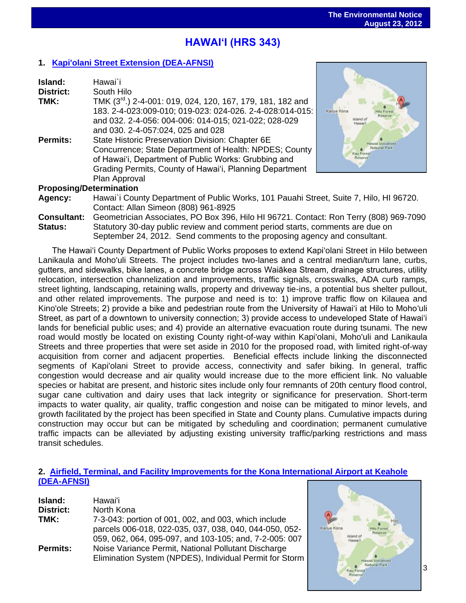# **HAWAIʻI (HRS 343)**

## **1. [Kapi'olani Street Extension](http://oeqc.doh.hawaii.gov/Shared%20Documents/EA_and_EIS_Online_Library/Hawaii/2010s/2012-08-23-HA-DEA-AFNSI-Kapiolani-Street-Extension.pdf) (DEA-AFNSI)**

| Island:<br><b>District:</b><br>TMK:<br>Permits: | Hawai`i<br>South Hilo<br>TMK (3 <sup>rd</sup> .) 2-4-001: 019, 024, 120, 167, 179, 181, 182 and<br>183. 2-4-023:009-010; 019-023: 024-026. 2-4-028:014-015:<br>and 032. 2-4-056: 004-006: 014-015; 021-022; 028-029<br>and 030. 2-4-057:024, 025 and 028<br>State Historic Preservation Division: Chapter 6E<br>Concurrence; State Department of Health: NPDES; County<br>of Hawai'i, Department of Public Works: Grubbing and<br>Grading Permits, County of Hawai'i, Planning Department | Kailua Kona<br>Island of<br>Hawai'l |  |
|-------------------------------------------------|-------------------------------------------------------------------------------------------------------------------------------------------------------------------------------------------------------------------------------------------------------------------------------------------------------------------------------------------------------------------------------------------------------------------------------------------------------------------------------------------|-------------------------------------|--|
|                                                 | Plan Approval                                                                                                                                                                                                                                                                                                                                                                                                                                                                             |                                     |  |
|                                                 |                                                                                                                                                                                                                                                                                                                                                                                                                                                                                           |                                     |  |
| <b>Proposing/Determination</b>                  |                                                                                                                                                                                                                                                                                                                                                                                                                                                                                           |                                     |  |
| Agency:                                         | Hawai'i County Department of Public Works, 101 Pauahi Street, Suite 7, Hilo, HI 96720.                                                                                                                                                                                                                                                                                                                                                                                                    |                                     |  |
|                                                 | Contact: Allan Simeon (808) 961-8925                                                                                                                                                                                                                                                                                                                                                                                                                                                      |                                     |  |
| <b>Consultant:</b>                              | Geometrician Associates, PO Box 396, Hilo HI 96721. Contact: Ron Terry (808) 969-7090                                                                                                                                                                                                                                                                                                                                                                                                     |                                     |  |
| <b>Status:</b>                                  | Statutory 30-day public review and comment period starts, comments are due on                                                                                                                                                                                                                                                                                                                                                                                                             |                                     |  |

September 24, 2012. Send comments to the proposing agency and consultant.

The Hawai'i County Department of Public Works proposes to extend Kapi'olani Street in Hilo between Lanikaula and Moho'uli Streets. The project includes two-lanes and a central median/turn lane, curbs, gutters, and sidewalks, bike lanes, a concrete bridge across Waiākea Stream, drainage structures, utility relocation, intersection channelization and improvements, traffic signals, crosswalks, ADA curb ramps, street lighting, landscaping, retaining walls, property and driveway tie-ins, a potential bus shelter pullout, and other related improvements. The purpose and need is to: 1) improve traffic flow on Kilauea and Kino'ole Streets; 2) provide a bike and pedestrian route from the University of Hawai'i at Hilo to Moho'uli Street, as part of a downtown to university connection; 3) provide access to undeveloped State of Hawai'i lands for beneficial public uses; and 4) provide an alternative evacuation route during tsunami. The new road would mostly be located on existing County right-of-way within Kapi'olani, Moho'uli and Lanikaula Streets and three properties that were set aside in 2010 for the proposed road, with limited right-of-way acquisition from corner and adjacent properties. Beneficial effects include linking the disconnected segments of Kapi'olani Street to provide access, connectivity and safer biking. In general, traffic congestion would decrease and air quality would increase due to the more efficient link. No valuable species or habitat are present, and historic sites include only four remnants of 20th century flood control, sugar cane cultivation and dairy uses that lack integrity or significance for preservation. Short-term impacts to water quality, air quality, traffic congestion and noise can be mitigated to minor levels, and growth facilitated by the project has been specified in State and County plans. Cumulative impacts during construction may occur but can be mitigated by scheduling and coordination; permanent cumulative traffic impacts can be alleviated by adjusting existing university traffic/parking restrictions and mass transit schedules.

#### **2. [Airfield, Terminal, and Facility Improvements for the Kona International Airport at Keahole](http://oeqc.doh.hawaii.gov/Shared%20Documents/Forms/AllItems.aspx?RootFolder=%2fShared%20Documents%2fEA%5fand%5fEIS%5fOnline%5fLibrary%2fHawaii%2f2010s&View=%7bC0C5C897%2d3066%2d4821%2d864E%2d36FB3D77F5D5%7d) [\(DEA-AFNSI\)](http://oeqc.doh.hawaii.gov/Shared%20Documents/Forms/AllItems.aspx?RootFolder=%2fShared%20Documents%2fEA%5fand%5fEIS%5fOnline%5fLibrary%2fHawaii%2f2010s&View=%7bC0C5C897%2d3066%2d4821%2d864E%2d36FB3D77F5D5%7d)**

| Island:         | Hawai'i                                                 |
|-----------------|---------------------------------------------------------|
| District:       | North Kona                                              |
| TMK:            | 7-3-043: portion of 001, 002, and 003, which include    |
|                 | parcels 006-018, 022-035, 037, 038, 040, 044-050, 052-  |
|                 | 059, 062, 064, 095-097, and 103-105; and, 7-2-005: 007  |
| <b>Permits:</b> | Noise Variance Permit, National Pollutant Discharge     |
|                 | Elimination System (NPDES), Individual Permit for Storm |

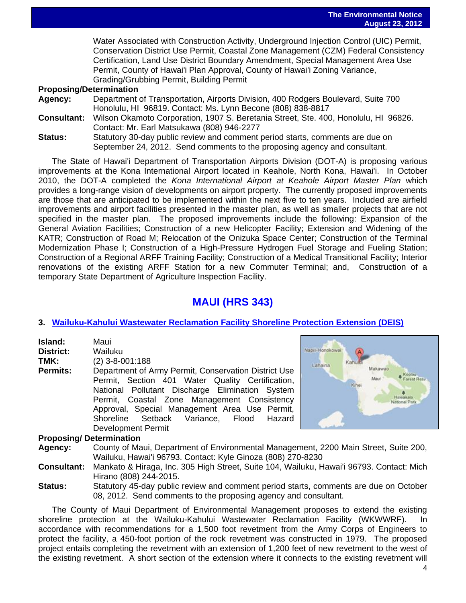Water Associated with Construction Activity, Underground Injection Control (UIC) Permit, Conservation District Use Permit, Coastal Zone Management (CZM) Federal Consistency Certification, Land Use District Boundary Amendment, Special Management Area Use Permit, County of Hawai'i Plan Approval, County of Hawai'i Zoning Variance, Grading/Grubbing Permit, Building Permit

#### **Proposing/Determination**

- **Agency:** Department of Transportation, Airports Division, 400 Rodgers Boulevard, Suite 700 Honolulu, HI 96819. Contact: Ms. Lynn Becone (808) 838-8817
- **Consultant:** Wilson Okamoto Corporation, 1907 S. Beretania Street, Ste. 400, Honolulu, HI 96826. Contact: Mr. Earl Matsukawa (808) 946-2277
- **Status:** Statutory 30-day public review and comment period starts, comments are due on September 24, 2012. Send comments to the proposing agency and consultant.

The State of Hawai'i Department of Transportation Airports Division (DOT-A) is proposing various improvements at the Kona International Airport located in Keahole, North Kona, Hawai'i. In October 2010, the DOT-A completed the *Kona International Airport at Keahole Airport Master Plan* which provides a long-range vision of developments on airport property. The currently proposed improvements are those that are anticipated to be implemented within the next five to ten years. Included are airfield improvements and airport facilities presented in the master plan, as well as smaller projects that are not specified in the master plan. The proposed improvements include the following: Expansion of the General Aviation Facilities; Construction of a new Helicopter Facility; Extension and Widening of the KATR; Construction of Road M; Relocation of the Onizuka Space Center; Construction of the Terminal Modernization Phase I; Construction of a High-Pressure Hydrogen Fuel Storage and Fueling Station; Construction of a Regional ARFF Training Facility; Construction of a Medical Transitional Facility; Interior renovations of the existing ARFF Station for a new Commuter Terminal; and, Construction of a temporary State Department of Agriculture Inspection Facility.

# **MAUI (HRS 343)**

## **3. [Wailuku-Kahului Wastewater Reclamation Facility Shoreline Protection Extension](http://oeqc.doh.hawaii.gov/Shared%20Documents/Forms/AllItems.aspx?RootFolder=%2fShared%20Documents%2fEA%5fand%5fEIS%5fOnline%5fLibrary%2fMaui%2f2010s&View=%7bC0C5C897%2d3066%2d4821%2d864E%2d36FB3D77F5D5%7d) (DEIS)**

| Island: | Maui |
|---------|------|
|         |      |

**District:** Wailuku

**TMK:** (2) 3-8-001:188

**Permits:** Department of Army Permit, Conservation District Use Permit, Section 401 Water Quality Certification, National Pollutant Discharge Elimination System Permit, Coastal Zone Management Consistency Approval, Special Management Area Use Permit, Shoreline Setback Variance, Flood Hazard Development Permit

# Napili-Honokowai Lahaina Makawao Koolau Maca Forest Resy

#### **Proposing/ Determination**

- **Agency:** County of Maui, Department of Environmental Management, 2200 Main Street, Suite 200, Wailuku, Hawai'i 96793. Contact: Kyle Ginoza (808) 270-8230
- **Consultant:** Mankato & Hiraga, Inc. 305 High Street, Suite 104, Wailuku, Hawai'i 96793. Contact: Mich Hirano (808) 244-2015.
- **Status:** Statutory 45-day public review and comment period starts, comments are due on October 08, 2012. Send comments to the proposing agency and consultant.

The County of Maui Department of Environmental Management proposes to extend the existing shoreline protection at the Wailuku-Kahului Wastewater Reclamation Facility (WKWWRF). In accordance with recommendations for a 1,500 foot revetment from the Army Corps of Engineers to protect the facility, a 450-foot portion of the rock revetment was constructed in 1979. The proposed project entails completing the revetment with an extension of 1,200 feet of new revetment to the west of the existing revetment. A short section of the extension where it connects to the existing revetment will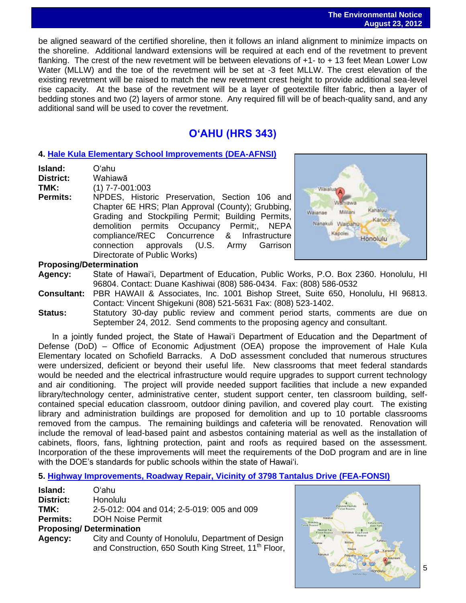#### **The Environmental Notice August 23, 2012**

 be aligned seaward of the certified shoreline, then it follows an inland alignment to minimize impacts on the shoreline. Additional landward extensions will be required at each end of the revetment to prevent flanking. The crest of the new revetment will be between elevations of +1- to + 13 feet Mean Lower Low Water (MLLW) and the toe of the revetment will be set at -3 feet MLLW. The crest elevation of the existing revetment will be raised to match the new revetment crest height to provide additional sea-level rise capacity. At the base of the revetment will be a layer of geotextile filter fabric, then a layer of bedding stones and two (2) layers of armor stone. Any required fill will be of beach-quality sand, and any additional sand will be used to cover the revetment.

# **OʻAHU (HRS 343)**

# **4. [Hale Kula Elementary School Improvements](http://oeqc.doh.hawaii.gov/Shared%20Documents/Forms/AllItems.aspx?RootFolder=%2fShared%20Documents%2fEA%5fand%5fEIS%5fOnline%5fLibrary%2fOahu%2f2010s&View=%7bC0C5C897%2d3066%2d4821%2d864E%2d36FB3D77F5D5%7d) (DEA-AFNSI)**

| Island:          | O'ahu                                             |
|------------------|---------------------------------------------------|
| <b>District:</b> | Wahiawā                                           |
| TMK:             | $(1)$ 7-7-001:003                                 |
| <b>Permits:</b>  | NPDES, Historic Preservation, Section 106 and     |
|                  | Chapter 6E HRS; Plan Approval (County); Grubbing, |
|                  | Grading and Stockpiling Permit; Building Permits, |
|                  | demolition permits Occupancy Permit;, NEPA        |
|                  | compliance/REC Concurrence & Infrastructure       |
|                  | connection approvals (U.S. Army Garrison          |
|                  | Directorate of Public Works)                      |
|                  |                                                   |



#### **Proposing/Determination**

**Agency:** State of Hawai'i, Department of Education, Public Works, P.O. Box 2360. Honolulu, HI 96804. Contact: Duane Kashiwai (808) 586-0434. Fax: (808) 586-0532

- **Consultant:** PBR HAWAII & Associates, Inc. 1001 Bishop Street, Suite 650, Honolulu, HI 96813. Contact: Vincent Shigekuni (808) 521-5631 Fax: (808) 523-1402.
- **Status:** Statutory 30-day public review and comment period starts, comments are due on September 24, 2012. Send comments to the proposing agency and consultant.

In a jointly funded project, the State of Hawai'i Department of Education and the Department of Defense (DoD) – Office of Economic Adjustment (OEA) propose the improvement of Hale Kula Elementary located on Schofield Barracks. A DoD assessment concluded that numerous structures were undersized, deficient or beyond their useful life. New classrooms that meet federal standards would be needed and the electrical infrastructure would require upgrades to support current technology and air conditioning. The project will provide needed support facilities that include a new expanded library/technology center, administrative center, student support center, ten classroom building, selfcontained special education classroom, outdoor dining pavilion, and covered play court. The existing library and administration buildings are proposed for demolition and up to 10 portable classrooms removed from the campus. The remaining buildings and cafeteria will be renovated. Renovation will include the removal of lead-based paint and asbestos containing material as well as the installation of cabinets, floors, fans, lightning protection, paint and roofs as required based on the assessment. Incorporation of the these improvements will meet the requirements of the DoD program and are in line with the DOE's standards for public schools within the state of Hawai'i.

## **5. [Highway Improvements, Roadway Repair, Vicinity of 3798 Tantalus Drive](http://oeqc.doh.hawaii.gov/Shared%20Documents/Forms/AllItems.aspx?RootFolder=%2fShared%20Documents%2fEA%5fand%5fEIS%5fOnline%5fLibrary%2fOahu%2f2010s&View=%7bC0C5C897%2d3066%2d4821%2d864E%2d36FB3D77F5D5%7d) (FEA-FONSI)**

| Island:          | Oʻahu                                                            |
|------------------|------------------------------------------------------------------|
| <b>District:</b> | Honolulu                                                         |
| TMK:             | 2-5-012: 004 and 014; 2-5-019: 005 and 009                       |
| <b>Permits:</b>  | <b>DOH Noise Permit</b>                                          |
|                  | <b>Proposing/Determination</b>                                   |
| Agency:          | City and County of Honolulu, Department of Design                |
|                  | and Construction, 650 South King Street, 11 <sup>th</sup> Floor, |

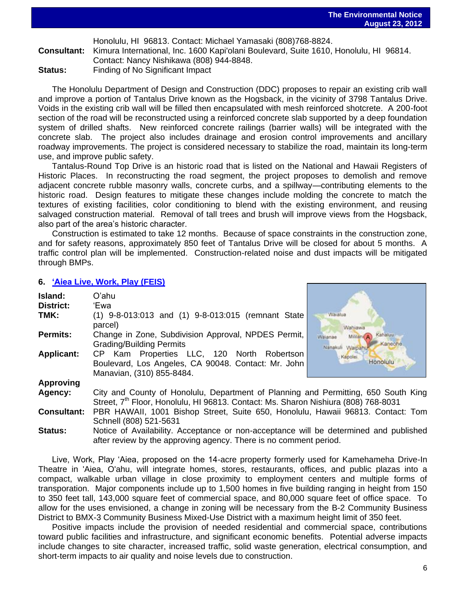Honolulu, HI 96813. Contact: Michael Yamasaki (808)768-8824.

**Consultant:** Kimura International, Inc. 1600 Kapi'olani Boulevard, Suite 1610, Honolulu, HI 96814. Contact: Nancy Nishikawa (808) 944-8848.

**Status:** Finding of No Significant Impact

The Honolulu Department of Design and Construction (DDC) proposes to repair an existing crib wall and improve a portion of Tantalus Drive known as the Hogsback, in the vicinity of 3798 Tantalus Drive. Voids in the existing crib wall will be filled then encapsulated with mesh reinforced shotcrete. A 200-foot section of the road will be reconstructed using a reinforced concrete slab supported by a deep foundation system of drilled shafts. New reinforced concrete railings (barrier walls) will be integrated with the concrete slab. The project also includes drainage and erosion control improvements and ancillary roadway improvements. The project is considered necessary to stabilize the road, maintain its long-term use, and improve public safety.

Tantalus-Round Top Drive is an historic road that is listed on the National and Hawaii Registers of Historic Places. In reconstructing the road segment, the project proposes to demolish and remove adjacent concrete rubble masonry walls, concrete curbs, and a spillway—contributing elements to the historic road. Design features to mitigate these changes include molding the concrete to match the textures of existing facilities, color conditioning to blend with the existing environment, and reusing salvaged construction material. Removal of tall trees and brush will improve views from the Hogsback, also part of the area's historic character.

Construction is estimated to take 12 months. Because of space constraints in the construction zone, and for safety reasons, approximately 850 feet of Tantalus Drive will be closed for about 5 months. A traffic control plan will be implemented. Construction-related noise and dust impacts will be mitigated through BMPs.

## **6. ['Aiea Live, Work, Play \(FEIS\)](http://oeqc.doh.hawaii.gov/Shared%20Documents/Forms/AllItems.aspx?RootFolder=%2fShared%20Documents%2fEA%5fand%5fEIS%5fOnline%5fLibrary%2fOahu%2f2010s&View=%7bC0C5C897%2d3066%2d4821%2d864E%2d36FB3D77F5D5%7d)**

| Island:<br><b>District:</b> | O'ahu<br>'Ewa                                                                                                                                                                        |                                                                             |  |  |
|-----------------------------|--------------------------------------------------------------------------------------------------------------------------------------------------------------------------------------|-----------------------------------------------------------------------------|--|--|
| TMK:                        | (1) 9-8-013:013 and (1) 9-8-013:015 (remnant State<br>parcel)                                                                                                                        | Waialua<br>Wahiawa                                                          |  |  |
| <b>Permits:</b>             | Change in Zone, Subdivision Approval, NPDES Permit,<br><b>Grading/Building Permits</b>                                                                                               | Kahaluu<br>Mililani <sup>4</sup> A<br>Walanae<br>Kaneohe<br>Nanakuli Waipal |  |  |
| <b>Applicant:</b>           | CP Kam Properties LLC, 120 North Robertson<br>Boulevard, Los Angeles, CA 90048. Contact: Mr. John<br>Manavian, (310) 855-8484.                                                       | Kapolei<br>Honolulu                                                         |  |  |
| <b>Approving</b>            |                                                                                                                                                                                      |                                                                             |  |  |
| Agency:                     | City and County of Honolulu, Department of Planning and Permitting, 650 South King<br>Street, 7 <sup>th</sup> Floor, Honolulu, HI 96813. Contact: Ms. Sharon Nishiura (808) 768-8031 |                                                                             |  |  |
| <b>Consultant:</b>          | PBR HAWAII, 1001 Bishop Street, Suite 650, Honolulu, Hawaii 96813. Contact: Tom<br>Schnell (808) 521-5631                                                                            |                                                                             |  |  |
| <b>Status:</b>              | Notice of Availability. Acceptance or non-acceptance will be determined and published<br>after review by the approving agency. There is no comment period.                           |                                                                             |  |  |

Live, Work, Play 'Aiea, proposed on the 14-acre property formerly used for Kamehameha Drive-In Theatre in 'Aiea, O'ahu, will integrate homes, stores, restaurants, offices, and public plazas into a compact, walkable urban village in close proximity to employment centers and multiple forms of transporation. Major components include up to 1,500 homes in five building ranging in height from 150 to 350 feet tall, 143,000 square feet of commercial space, and 80,000 square feet of office space. To allow for the uses envisioned, a change in zoning will be necessary from the B-2 Community Business District to BMX-3 Community Business Mixed-Use District with a maximum height limit of 350 feet.

Positive impacts include the provision of needed residential and commercial space, contributions toward public facilities and infrastructure, and significant economic benefits. Potential adverse impacts include changes to site character, increased traffic, solid waste generation, electrical consumption, and short-term impacts to air quality and noise levels due to construction.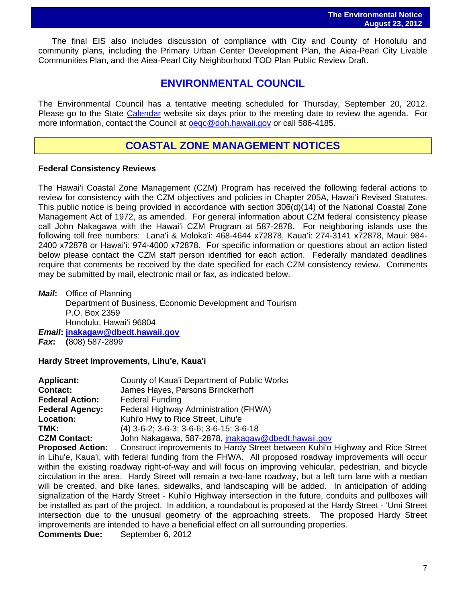The final EIS also includes discussion of compliance with City and County of Honolulu and community plans, including the Primary Urban Center Development Plan, the Aiea-Pearl City Livable Communities Plan, and the Aiea-Pearl City Neighborhood TOD Plan Public Review Draft.

# **ENVIRONMENTAL COUNCIL**

The Environmental Council has a tentative meeting scheduled for Thursday, September 20, 2012. Please go to the State [Calendar](http://calendar.ehawaii.gov/calendar/html/event) website six days prior to the meeting date to review the agenda. For more information, contact the Council at [oeqc@doh.hawaii.gov](mailto:oeqc@doh.hawaii.gov) or call 586-4185.

# **COASTAL ZONE MANAGEMENT NOTICES**

## **Federal Consistency Reviews**

The Hawai'i Coastal Zone Management (CZM) Program has received the following federal actions to review for consistency with the CZM objectives and policies in Chapter 205A, Hawai'i Revised Statutes. This public notice is being provided in accordance with section 306(d)(14) of the National Coastal Zone Management Act of 1972, as amended. For general information about CZM federal consistency please call John Nakagawa with the Hawai'i CZM Program at 587-2878. For neighboring islands use the following toll free numbers: Lana'i & Moloka'i: 468-4644 x72878, Kaua'i: 274-3141 x72878, Maui: 984- 2400 x72878 or Hawai'i: 974-4000 x72878. For specific information or questions about an action listed below please contact the CZM staff person identified for each action. Federally mandated deadlines require that comments be received by the date specified for each CZM consistency review. Comments may be submitted by mail, electronic mail or fax, as indicated below.

*Mail***:** Office of Planning Department of Business, Economic Development and Tourism P.O. Box 2359 Honolulu, Hawai'i 96804 *Email***: [jnakagaw@dbedt.hawaii.gov](mailto:jnakagaw@dbedt.hawaii.gov)**

*Fax***: (**808) 587-2899

## **Hardy Street Improvements, Lihu'e, Kaua'i**

| <b>Applicant:</b>      | County of Kaua'i Department of Public Works               |
|------------------------|-----------------------------------------------------------|
| <b>Contact:</b>        | James Hayes, Parsons Brinckerhoff                         |
| <b>Federal Action:</b> | <b>Federal Funding</b>                                    |
| <b>Federal Agency:</b> | Federal Highway Administration (FHWA)                     |
| <b>Location:</b>       | Kuhi'o Hwy to Rice Street, Lihu'e                         |
| TMK:                   | $(4)$ 3-6-2; 3-6-3; 3-6-6; 3-6-15; 3-6-18                 |
| <b>CZM Contact:</b>    | John Nakagawa, 587-2878, <i>inakagaw@dbedt.hawaii.gov</i> |
|                        |                                                           |

**Proposed Action:** Construct improvements to Hardy Street between Kuhi'o Highway and Rice Street in Lihu'e, Kaua'i, with federal funding from the FHWA. All proposed roadway improvements will occur within the existing roadway right-of-way and will focus on improving vehicular, pedestrian, and bicycle circulation in the area. Hardy Street will remain a two-lane roadway, but a left turn lane with a median will be created, and bike lanes, sidewalks, and landscaping will be added. In anticipation of adding signalization of the Hardy Street - Kuhi'o Highway intersection in the future, conduits and pullboxes will be installed as part of the project. In addition, a roundabout is proposed at the Hardy Street - 'Umi Street intersection due to the unusual geometry of the approaching streets. The proposed Hardy Street improvements are intended to have a beneficial effect on all surrounding properties. **Comments Due:** September 6, 2012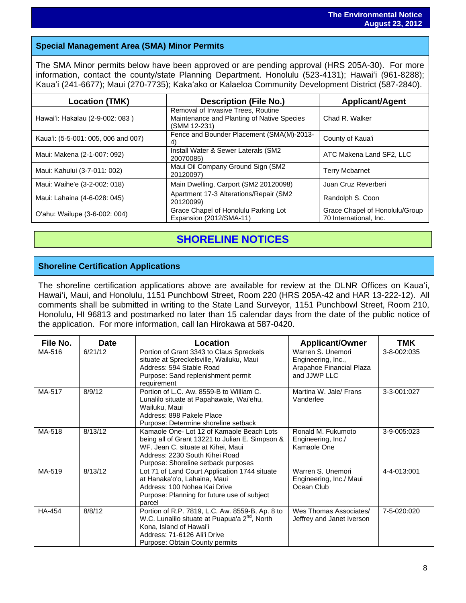# **Special Management Area (SMA) Minor Permits**

The SMA Minor permits below have been approved or are pending approval (HRS 205A-30). For more information, contact the county/state Planning Department. Honolulu (523-4131); Hawaiʻi (961-8288); Kauaʻi (241-6677); Maui (270-7735); Kakaʻako or Kalaeloa Community Development District (587-2840).

| <b>Location (TMK)</b>               | <b>Description (File No.)</b>                                                                    | <b>Applicant/Agent</b>                                   |
|-------------------------------------|--------------------------------------------------------------------------------------------------|----------------------------------------------------------|
| Hawai'i: Hakalau (2-9-002: 083)     | Removal of Invasive Trees, Routine<br>Maintenance and Planting of Native Species<br>(SMM 12-231) | Chad R. Walker                                           |
| Kaua'i: (5-5-001: 005, 006 and 007) | Fence and Bounder Placement (SMA(M)-2013-<br>4)                                                  | County of Kaua'i                                         |
| Maui: Makena (2-1-007: 092)         | Install Water & Sewer Laterals (SM2<br>20070085)                                                 | ATC Makena Land SF2, LLC                                 |
| Maui: Kahului (3-7-011: 002)        | Maui Oil Company Ground Sign (SM2<br>20120097)                                                   | <b>Terry Mcbarnet</b>                                    |
| Maui: Waihe'e (3-2-002: 018)        | Main Dwelling, Carport (SM2 20120098)                                                            | Juan Cruz Reverberi                                      |
| Maui: Lahaina (4-6-028: 045)        | Apartment 17-3 Alterations/Repair (SM2<br>20120099)                                              | Randolph S. Coon                                         |
| O'ahu: Wailupe (3-6-002: 004)       | Grace Chapel of Honolulu Parking Lot<br>Expansion (2012/SMA-11)                                  | Grace Chapel of Honolulu/Group<br>70 International, Inc. |

# **SHORELINE NOTICES**

# **Shoreline Certification Applications**

The shoreline certification applications above are available for review at the DLNR Offices on Kauaʻi, Hawaiʻi, Maui, and Honolulu, 1151 Punchbowl Street, Room 220 (HRS 205A-42 and HAR 13-222-12). All comments shall be submitted in writing to the State Land Surveyor, 1151 Punchbowl Street, Room 210, Honolulu, HI 96813 and postmarked no later than 15 calendar days from the date of the public notice of the application. For more information, call Ian Hirokawa at 587-0420.

| File No. | <b>Date</b> | <b>Location</b>                                                                                                                                                                                             | <b>Applicant/Owner</b>                                                              | <b>TMK</b>  |
|----------|-------------|-------------------------------------------------------------------------------------------------------------------------------------------------------------------------------------------------------------|-------------------------------------------------------------------------------------|-------------|
| MA-516   | 6/21/12     | Portion of Grant 3343 to Claus Spreckels<br>situate at Spreckelsville, Wailuku, Maui<br>Address: 594 Stable Road<br>Purpose: Sand replenishment permit<br>requirement                                       | Warren S. Unemori<br>Engineering, Inc.,<br>Arapahoe Financial Plaza<br>and JJWP LLC | 3-8-002:035 |
| MA-517   | 8/9/12      | Portion of L.C. Aw. 8559-B to William C.<br>Lunalilo situate at Papahawale, Wai'ehu,<br>Wailuku, Maui<br>Address: 898 Pakele Place<br>Purpose: Determine shoreline setback                                  | Martina W. Jale/ Frans<br>Vanderlee                                                 | 3-3-001:027 |
| MA-518   | 8/13/12     | Kamaole One- Lot 12 of Kamaole Beach Lots<br>being all of Grant 13221 to Julian E. Simpson &<br>WF. Jean C. situate at Kihei. Maui<br>Address: 2230 South Kihei Road<br>Purpose: Shoreline setback purposes | Ronald M. Fukumoto<br>Engineering, Inc./<br>Kamaole One                             | 3-9-005:023 |
| MA-519   | 8/13/12     | Lot 71 of Land Court Application 1744 situate<br>at Hanaka'o'o, Lahaina, Maui<br>Address: 100 Nohea Kai Drive<br>Purpose: Planning for future use of subject<br>parcel                                      | Warren S. Unemori<br>Engineering, Inc./ Maui<br>Ocean Club                          | 4-4-013:001 |
| HA-454   | 8/8/12      | Portion of R.P. 7819, L.C. Aw. 8559-B, Ap. 8 to<br>W.C. Lunalilo situate at Puapua'a 2 <sup>nd</sup> , North<br>Kona, Island of Hawai'i<br>Address: 71-6126 Ali'i Drive<br>Purpose: Obtain County permits   | Wes Thomas Associates/<br>Jeffrey and Janet Iverson                                 | 7-5-020:020 |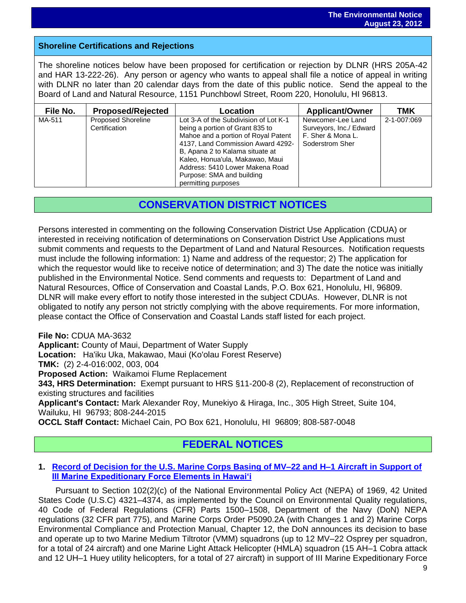# **Shoreline Certifications and Rejections**

The shoreline notices below have been proposed for certification or rejection by DLNR (HRS 205A-42 and HAR 13-222-26). Any person or agency who wants to appeal shall file a notice of appeal in writing with DLNR no later than 20 calendar days from the date of this public notice. Send the appeal to the Board of Land and Natural Resource, 1151 Punchbowl Street, Room 220, Honolulu, HI 96813.

| File No. | <b>Proposed/Rejected</b>            | Location                                                                                                                                                                                                                                                                                                          | <b>Applicant/Owner</b>                                                               | <b>TMK</b>  |
|----------|-------------------------------------|-------------------------------------------------------------------------------------------------------------------------------------------------------------------------------------------------------------------------------------------------------------------------------------------------------------------|--------------------------------------------------------------------------------------|-------------|
| MA-511   | Proposed Shoreline<br>Certification | Lot 3-A of the Subdivision of Lot K-1<br>being a portion of Grant 835 to<br>Mahoe and a portion of Royal Patent<br>4137, Land Commission Award 4292-<br>B, Apana 2 to Kalama situate at<br>Kaleo, Honua'ula, Makawao, Maui<br>Address: 5410 Lower Makena Road<br>Purpose: SMA and building<br>permitting purposes | Newcomer-Lee Land<br>Surveyors, Inc./ Edward<br>F. Sher & Mona L.<br>Soderstrom Sher | 2-1-007:069 |

# **CONSERVATION DISTRICT NOTICES**

Persons interested in commenting on the following Conservation District Use Application (CDUA) or interested in receiving notification of determinations on Conservation District Use Applications must submit comments and requests to the Department of Land and Natural Resources. Notification requests must include the following information: 1) Name and address of the requestor; 2) The application for which the requestor would like to receive notice of determination; and 3) The date the notice was initially published in the Environmental Notice. Send comments and requests to: Department of Land and Natural Resources, Office of Conservation and Coastal Lands, P.O. Box 621, Honolulu, HI, 96809. DLNR will make every effort to notify those interested in the subject CDUAs. However, DLNR is not obligated to notify any person not strictly complying with the above requirements. For more information, please contact the Office of Conservation and Coastal Lands staff listed for each project.

#### **File No:** CDUA MA-3632

**Applicant:** County of Maui, Department of Water Supply

**Location:** Ha'iku Uka, Makawao, Maui (Ko'olau Forest Reserve)

**TMK:** (2) 2-4-016:002, 003, 004

**Proposed Action:** Waikamoi Flume Replacement

**343, HRS Determination:** Exempt pursuant to HRS §11-200-8 (2), Replacement of reconstruction of existing structures and facilities

**Applicant's Contact:** Mark Alexander Roy, Munekiyo & Hiraga, Inc., 305 High Street, Suite 104, Wailuku, HI 96793; 808-244-2015

**OCCL Staff Contact:** Michael Cain, PO Box 621, Honolulu, HI 96809; 808-587-0048

# **FEDERAL NOTICES**

## **1. [Record of Decision for the U.S. Marine Corps Basing of MV–22 and H–1 Aircraft in Support of](file:///C:/Users/OEQC%20PLAN/Desktop/Record%20of%20Decision%20for%20the%20U.S.%20Marine%20Corps%20Basing%20of%20MV–22%20and%20H–1%20Aircraft%20in%20Support%20of%20III%20Marine%20Expeditionary%20Force%20Elements%20in%20Hawai)  [III Marine Expeditionary Force Elements in Hawai'i](file:///C:/Users/OEQC%20PLAN/Desktop/Record%20of%20Decision%20for%20the%20U.S.%20Marine%20Corps%20Basing%20of%20MV–22%20and%20H–1%20Aircraft%20in%20Support%20of%20III%20Marine%20Expeditionary%20Force%20Elements%20in%20Hawai)**

Pursuant to Section 102(2)(c) of the National Environmental Policy Act (NEPA) of 1969, 42 United States Code (U.S.C) 4321–4374, as implemented by the Council on Environmental Quality regulations, 40 Code of Federal Regulations (CFR) Parts 1500–1508, Department of the Navy (DoN) NEPA regulations (32 CFR part 775), and Marine Corps Order P5090.2A (with Changes 1 and 2) Marine Corps Environmental Compliance and Protection Manual, Chapter 12, the DoN announces its decision to base and operate up to two Marine Medium Tiltrotor (VMM) squadrons (up to 12 MV–22 Osprey per squadron, for a total of 24 aircraft) and one Marine Light Attack Helicopter (HMLA) squadron (15 AH–1 Cobra attack and 12 UH–1 Huey utility helicopters, for a total of 27 aircraft) in support of III Marine Expeditionary Force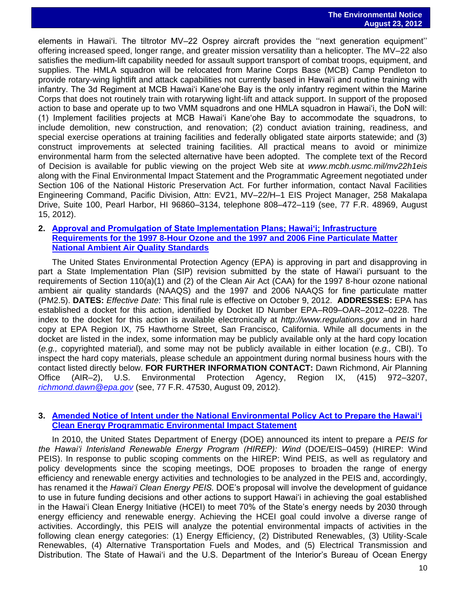elements in Hawai'i. The tiltrotor MV–22 Osprey aircraft provides the ''next generation equipment'' offering increased speed, longer range, and greater mission versatility than a helicopter. The MV–22 also satisfies the medium-lift capability needed for assault support transport of combat troops, equipment, and supplies. The HMLA squadron will be relocated from Marine Corps Base (MCB) Camp Pendleton to provide rotary-wing lightlift and attack capabilities not currently based in Hawai'i and routine training with infantry. The 3d Regiment at MCB Hawai'i Kane'ohe Bay is the only infantry regiment within the Marine Corps that does not routinely train with rotarywing light-lift and attack support. In support of the proposed action to base and operate up to two VMM squadrons and one HMLA squadron in Hawai'i, the DoN will: (1) Implement facilities projects at MCB Hawai'i Kane'ohe Bay to accommodate the squadrons, to include demolition, new construction, and renovation; (2) conduct aviation training, readiness, and special exercise operations at training facilities and federally obligated state airports statewide; and (3) construct improvements at selected training facilities. All practical means to avoid or minimize environmental harm from the selected alternative have been adopted. The complete text of the Record of Decision is available for public viewing on the project Web site at *www.mcbh.usmc.mil/mv22h1eis*  along with the Final Environmental Impact Statement and the Programmatic Agreement negotiated under Section 106 of the National Historic Preservation Act. For further information, contact Naval Facilities Engineering Command, Pacific Division, Attn: EV21, MV–22/H–1 EIS Project Manager, 258 Makalapa Drive, Suite 100, Pearl Harbor, HI 96860–3134, telephone 808–472–119 (see, 77 F.R. 48969, August 15, 2012).

#### **2. [Approval and Promulgation of State Implementation Plans; Hawai'i; Infrastructure](http://www.gpo.gov/fdsys/pkg/FR-2012-08-09/pdf/2012-19301.pdf)  [Requirements for the 1997 8-Hour Ozone and the 1997 and 2006 Fine Particulate Matter](http://www.gpo.gov/fdsys/pkg/FR-2012-08-09/pdf/2012-19301.pdf)  [National Ambient Air Quality Standards](http://www.gpo.gov/fdsys/pkg/FR-2012-08-09/pdf/2012-19301.pdf)**

The United States Environmental Protection Agency (EPA) is approving in part and disapproving in part a State Implementation Plan (SIP) revision submitted by the state of Hawai'i pursuant to the requirements of Section 110(a)(1) and (2) of the Clean Air Act (CAA) for the 1997 8-hour ozone national ambient air quality standards (NAAQS) and the 1997 and 2006 NAAQS for fine particulate matter (PM2.5). **DATES:** *Effective Date:* This final rule is effective on October 9, 2012. **ADDRESSES:** EPA has established a docket for this action, identified by Docket ID Number EPA–R09–OAR–2012–0228. The index to the docket for this action is available electronically at *http://www.regulations.gov* and in hard copy at EPA Region IX, 75 Hawthorne Street, San Francisco, California. While all documents in the docket are listed in the index, some information may be publicly available only at the hard copy location (*e.g.,* copyrighted material), and some may not be publicly available in either location (*e.g.,* CBI). To inspect the hard copy materials, please schedule an appointment during normal business hours with the contact listed directly below. **FOR FURTHER INFORMATION CONTACT:** Dawn Richmond, Air Planning Office (AIR–2), U.S. Environmental Protection Agency, Region IX, (415) 972–3207, *[richmond.dawn@epa.gov](mailto:richmond.dawn@epa.gov)* (see, 77 F.R. 47530, August 09, 2012).

## **3. [Amended Notice of Intent under the National Environmental Policy Act to Prepare the Hawai'i](file:///C:/Users/OEQC%20PLAN/Desktop/1.%09http:/www.gpo.gov/fdsys/pkg/FR-2012-08-10/pdf/2012-19647.pdf)  [Clean Energy Programmatic Environmental Impact Statement](file:///C:/Users/OEQC%20PLAN/Desktop/1.%09http:/www.gpo.gov/fdsys/pkg/FR-2012-08-10/pdf/2012-19647.pdf)**

In 2010, the United States Department of Energy (DOE) announced its intent to prepare a *PEIS for the Hawai'i Interisland Renewable Energy Program (HIREP): Wind* (DOE/EIS–0459) (HIREP: Wind PEIS). In response to public scoping comments on the HIREP: Wind PEIS, as well as regulatory and policy developments since the scoping meetings, DOE proposes to broaden the range of energy efficiency and renewable energy activities and technologies to be analyzed in the PEIS and, accordingly, has renamed it the *Hawai'i Clean Energy PEIS.* DOE's proposal will involve the development of guidance to use in future funding decisions and other actions to support Hawai'i in achieving the goal established in the Hawai'i Clean Energy Initiative (HCEI) to meet 70% of the State's energy needs by 2030 through energy efficiency and renewable energy. Achieving the HCEI goal could involve a diverse range of activities. Accordingly, this PEIS will analyze the potential environmental impacts of activities in the following clean energy categories: (1) Energy Efficiency, (2) Distributed Renewables, (3) Utility-Scale Renewables, (4) Alternative Transportation Fuels and Modes, and (5) Electrical Transmission and Distribution. The State of Hawai'i and the U.S. Department of the Interior's Bureau of Ocean Energy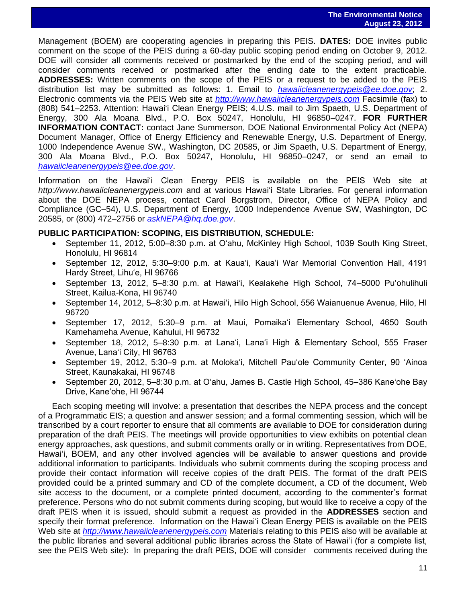Management (BOEM) are cooperating agencies in preparing this PEIS. **DATES:** DOE invites public comment on the scope of the PEIS during a 60-day public scoping period ending on October 9, 2012. DOE will consider all comments received or postmarked by the end of the scoping period, and will consider comments received or postmarked after the ending date to the extent practicable. **ADDRESSES:** Written comments on the scope of the PEIS or a request to be added to the PEIS distribution list may be submitted as follows: 1. Email to *[hawaiicleanenergypeis@ee.doe.gov](mailto:hawaiicleanenergypeis@ee.doe.gov)*; 2. Electronic comments via the PEIS Web site at *[http://www.hawaiicleanenergypeis.com](http://www.hawaiicleanenergypeis.com/)* Facsimile (fax) to (808) 541–2253. Attention: Hawai'i Clean Energy PEIS; 4.U.S. mail to Jim Spaeth, U.S. Department of Energy, 300 Ala Moana Blvd., P.O. Box 50247, Honolulu, HI 96850–0247. **FOR FURTHER INFORMATION CONTACT:** contact Jane Summerson, DOE National Environmental Policy Act (NEPA) Document Manager, Office of Energy Efficiency and Renewable Energy, U.S. Department of Energy, 1000 Independence Avenue SW., Washington, DC 20585, or Jim Spaeth, U.S. Department of Energy, 300 Ala Moana Blvd., P.O. Box 50247, Honolulu, HI 96850–0247, or send an email to *[hawaiicleanenergypeis@ee.doe.gov](mailto:hawaiicleanenergypeis@ee.doe.gov)*.

Information on the Hawai'i Clean Energy PEIS is available on the PEIS Web site at *http://www.hawaiicleanenergypeis.com* and at various Hawai'i State Libraries. For general information about the DOE NEPA process, contact Carol Borgstrom, Director, Office of NEPA Policy and Compliance (GC–54), U.S. Department of Energy, 1000 Independence Avenue SW, Washington, DC 20585, or (800) 472–2756 or *[askNEPA@hq.doe.gov](mailto:askNEPA@hq.doe.gov)*.

## **PUBLIC PARTICIPATION: SCOPING, EIS DISTRIBUTION, SCHEDULE:**

- September 11, 2012, 5:00–8:30 p.m. at O'ahu, McKinley High School, 1039 South King Street, Honolulu, HI 96814
- September 12, 2012, 5:30–9:00 p.m. at Kaua'i, Kaua'i War Memorial Convention Hall, 4191 Hardy Street, Lihu'e, HI 96766
- September 13, 2012, 5–8:30 p.m. at Hawai'i, Kealakehe High School, 74–5000 Pu'ohulihuli Street, Kailua-Kona, HI 96740
- September 14, 2012, 5–8:30 p.m. at Hawai'i, Hilo High School, 556 Waianuenue Avenue, Hilo, HI 96720
- September 17, 2012, 5:30–9 p.m. at Maui, Pomaika'i Elementary School, 4650 South Kamehameha Avenue, Kahului, HI 96732
- September 18, 2012, 5-8:30 p.m. at Lana'i, Lana'i High & Elementary School, 555 Fraser Avenue, Lana'i City, HI 96763
- September 19, 2012, 5:30–9 p.m. at Moloka'i, Mitchell Pau'ole Community Center, 90 'Ainoa Street, Kaunakakai, HI 96748
- September 20, 2012, 5–8:30 p.m. at O'ahu, James B. Castle High School, 45–386 Kane'ohe Bay Drive, Kane'ohe, HI 96744

Each scoping meeting will involve: a presentation that describes the NEPA process and the concept of a Programmatic EIS; a question and answer session; and a formal commenting session, which will be transcribed by a court reporter to ensure that all comments are available to DOE for consideration during preparation of the draft PEIS. The meetings will provide opportunities to view exhibits on potential clean energy approaches, ask questions, and submit comments orally or in writing. Representatives from DOE, Hawai'i, BOEM, and any other involved agencies will be available to answer questions and provide additional information to participants. Individuals who submit comments during the scoping process and provide their contact information will receive copies of the draft PEIS. The format of the draft PEIS provided could be a printed summary and CD of the complete document, a CD of the document, Web site access to the document, or a complete printed document, according to the commenter's format preference. Persons who do not submit comments during scoping, but would like to receive a copy of the draft PEIS when it is issued, should submit a request as provided in the **ADDRESSES** section and specify their format preference. Information on the Hawai'i Clean Energy PEIS is available on the PEIS Web site at *[http://www.hawaiicleanenergypeis.com](http://www.hawaiicleanenergypeis.com/)* Materials relating to this PEIS also will be available at the public libraries and several additional public libraries across the State of Hawai'i (for a complete list, see the PEIS Web site): In preparing the draft PEIS, DOE will consider comments received during the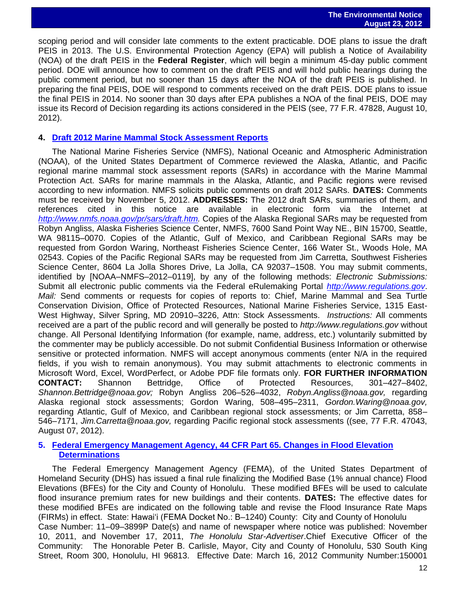scoping period and will consider late comments to the extent practicable. DOE plans to issue the draft PEIS in 2013. The U.S. Environmental Protection Agency (EPA) will publish a Notice of Availability (NOA) of the draft PEIS in the **Federal Register**, which will begin a minimum 45-day public comment period. DOE will announce how to comment on the draft PEIS and will hold public hearings during the public comment period, but no sooner than 15 days after the NOA of the draft PEIS is published. In preparing the final PEIS, DOE will respond to comments received on the draft PEIS. DOE plans to issue the final PEIS in 2014. No sooner than 30 days after EPA publishes a NOA of the final PEIS, DOE may issue its Record of Decision regarding its actions considered in the PEIS (see, 77 F.R. 47828, August 10, 2012).

#### **4. [Draft 2012 Marine Mammal Stock Assessment Reports](http://www.gpo.gov/fdsys/pkg/FR-2012-08-07/pdf/2012-19308.pdf)**

The National Marine Fisheries Service (NMFS), National Oceanic and Atmospheric Administration (NOAA), of the United States Department of Commerce reviewed the Alaska, Atlantic, and Pacific regional marine mammal stock assessment reports (SARs) in accordance with the Marine Mammal Protection Act. SARs for marine mammals in the Alaska, Atlantic, and Pacific regions were revised according to new information. NMFS solicits public comments on draft 2012 SARs. **DATES:** Comments must be received by November 5, 2012. **ADDRESSES:** The 2012 draft SARs, summaries of them, and references cited in this notice are available in electronic form via the Internet at [http://www.nmfs.noaa.gov/pr/sars/draft.htm.](http://www.nmfs.noaa.gov/pr/sars/draft.htm) Copies of the Alaska Regional SARs may be requested from Robyn Angliss, Alaska Fisheries Science Center, NMFS, 7600 Sand Point Way NE., BIN 15700, Seattle, WA 98115–0070. Copies of the Atlantic, Gulf of Mexico, and Caribbean Regional SARs may be requested from Gordon Waring, Northeast Fisheries Science Center, 166 Water St., Woods Hole, MA 02543. Copies of the Pacific Regional SARs may be requested from Jim Carretta, Southwest Fisheries Science Center, 8604 La Jolla Shores Drive, La Jolla, CA 92037–1508. You may submit comments, identified by [NOAA–NMFS–2012–0119], by any of the following methods: *Electronic Submissions:*  Submit all electronic public comments via the Federal eRulemaking Portal *[http://www.regulations.gov](http://www.regulations.gov/)*. *Mail:* Send comments or requests for copies of reports to: Chief, Marine Mammal and Sea Turtle Conservation Division, Office of Protected Resources, National Marine Fisheries Service, 1315 East-West Highway, Silver Spring, MD 20910–3226, Attn: Stock Assessments. *Instructions:* All comments received are a part of the public record and will generally be posted to *http://www.regulations.gov* without change. All Personal Identifying Information (for example, name, address, etc.) voluntarily submitted by the commenter may be publicly accessible. Do not submit Confidential Business Information or otherwise sensitive or protected information. NMFS will accept anonymous comments (enter N/A in the required fields, if you wish to remain anonymous). You may submit attachments to electronic comments in Microsoft Word, Excel, WordPerfect, or Adobe PDF file formats only. **FOR FURTHER INFORMATION CONTACT:** Shannon Bettridge, Office of Protected Resources, 301–427–8402, *Shannon.Bettridge@noaa.gov;* Robyn Angliss 206–526–4032, *Robyn.Angliss@noaa.gov,* regarding Alaska regional stock assessments; Gordon Waring, 508–495–2311, *Gordon.Waring@noaa.gov,*  regarding Atlantic, Gulf of Mexico, and Caribbean regional stock assessments; or Jim Carretta, 858– 546–7171, *Jim.Carretta@noaa.gov,* regarding Pacific regional stock assessments ((see, 77 F.R. 47043, August 07, 2012).

## **5. [Federal Emergency Management Agency, 44 CFR Part 65. Changes in Flood Elevation](http://www.gpo.gov/fdsys/pkg/FR-2012-07-30/pdf/2012-18494.pdf) [Determinations](http://www.gpo.gov/fdsys/pkg/FR-2012-07-30/pdf/2012-18494.pdf)**

The Federal Emergency Management Agency (FEMA), of the United States Department of Homeland Security (DHS) has issued a final rule finalizing the Modified Base (1% annual chance) Flood Elevations (BFEs) for the City and County of Honolulu. These modified BFEs will be used to calculate flood insurance premium rates for new buildings and their contents. **DATES:** The effective dates for these modified BFEs are indicated on the following table and revise the Flood Insurance Rate Maps (FIRMs) in effect. State: Hawai'i (FEMA Docket No.: B–1240) County: City and County of Honolulu Case Number: 11–09–3899P Date(s) and name of newspaper where notice was published: November 10, 2011, and November 17, 2011, *The Honolulu Star-Advertiser*.Chief Executive Officer of the Community: The Honorable Peter B. Carlisle, Mayor, City and County of Honolulu, 530 South King Street, Room 300, Honolulu, HI 96813. Effective Date: March 16, 2012 Community Number:150001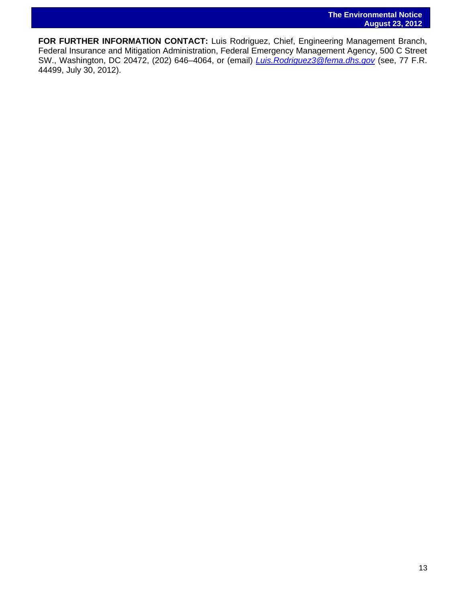**FOR FURTHER INFORMATION CONTACT:** Luis Rodriguez, Chief, Engineering Management Branch, Federal Insurance and Mitigation Administration, Federal Emergency Management Agency, 500 C Street SW., Washington, DC 20472, (202) 646–4064, or (email) *[Luis.Rodriguez3@fema.dhs.gov](mailto:Luis.Rodriguez3@fema.dhs.gov)* (see, 77 F.R. 44499, July 30, 2012).